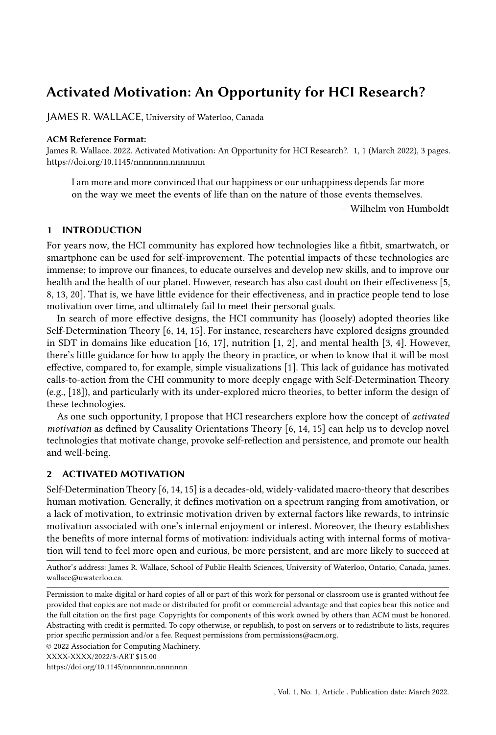# Activated Motivation: An Opportunity for HCI Research?

[JAMES R. WALLACE,](HTTPS://ORCID.ORG/0000-0002-5162-0256) University of Waterloo, Canada

#### ACM Reference Format:

James R. Wallace. 2022. Activated Motivation: An Opportunity for HCI Research?. 1, 1 (March 2022), [3](#page-2-0) pages. <https://doi.org/10.1145/nnnnnnn.nnnnnnn>

I am more and more convinced that our happiness or our unhappiness depends far more on the way we meet the events of life than on the nature of those events themselves.

— Wilhelm von Humboldt

#### 1 INTRODUCTION

For years now, the HCI community has explored how technologies like a fitbit, smartwatch, or smartphone can be used for self-improvement. The potential impacts of these technologies are immense; to improve our finances, to educate ourselves and develop new skills, and to improve our health and the health of our planet. However, research has also cast doubt on their effectiveness [\[5,](#page-2-1) [8,](#page-2-2) [13,](#page-2-3) [20\]](#page-2-4). That is, we have little evidence for their effectiveness, and in practice people tend to lose motivation over time, and ultimately fail to meet their personal goals.

In search of more effective designs, the HCI community has (loosely) adopted theories like Self-Determination Theory [\[6,](#page-2-5) [14,](#page-2-6) [15\]](#page-2-7). For instance, researchers have explored designs grounded in SDT in domains like education [\[16,](#page-2-8) [17\]](#page-2-9), nutrition [\[1,](#page-2-10) [2\]](#page-2-11), and mental health [\[3,](#page-2-12) [4\]](#page-2-13). However, there's little guidance for how to apply the theory in practice, or when to know that it will be most effective, compared to, for example, simple visualizations [\[1\]](#page-2-10). This lack of guidance has motivated calls-to-action from the CHI community to more deeply engage with Self-Determination Theory (e.g., [\[18\]](#page-2-14)), and particularly with its under-explored micro theories, to better inform the design of these technologies.

As one such opportunity, I propose that HCI researchers explore how the concept of activated motivation as defined by Causality Orientations Theory [\[6,](#page-2-5) [14,](#page-2-6) [15\]](#page-2-7) can help us to develop novel technologies that motivate change, provoke self-reflection and persistence, and promote our health and well-being.

## 2 ACTIVATED MOTIVATION

Self-Determination Theory [\[6,](#page-2-5) [14,](#page-2-6) [15\]](#page-2-7) is a decades-old, widely-validated macro-theory that describes human motivation. Generally, it defines motivation on a spectrum ranging from amotivation, or a lack of motivation, to extrinsic motivation driven by external factors like rewards, to intrinsic motivation associated with one's internal enjoyment or interest. Moreover, the theory establishes the benefits of more internal forms of motivation: individuals acting with internal forms of motivation will tend to feel more open and curious, be more persistent, and are more likely to succeed at

Author's address: [James R. Wallace,](https://orcid.org/0000-0002-5162-0256) School of Public Health Sciences, University of Waterloo, Ontario, Canada, james. wallace@uwaterloo.ca.

<https://doi.org/10.1145/nnnnnnn.nnnnnnn>

Permission to make digital or hard copies of all or part of this work for personal or classroom use is granted without fee provided that copies are not made or distributed for profit or commercial advantage and that copies bear this notice and the full citation on the first page. Copyrights for components of this work owned by others than ACM must be honored. Abstracting with credit is permitted. To copy otherwise, or republish, to post on servers or to redistribute to lists, requires prior specific permission and/or a fee. Request permissions from permissions@acm.org.

<sup>©</sup> 2022 Association for Computing Machinery.

XXXX-XXXX/2022/3-ART \$15.00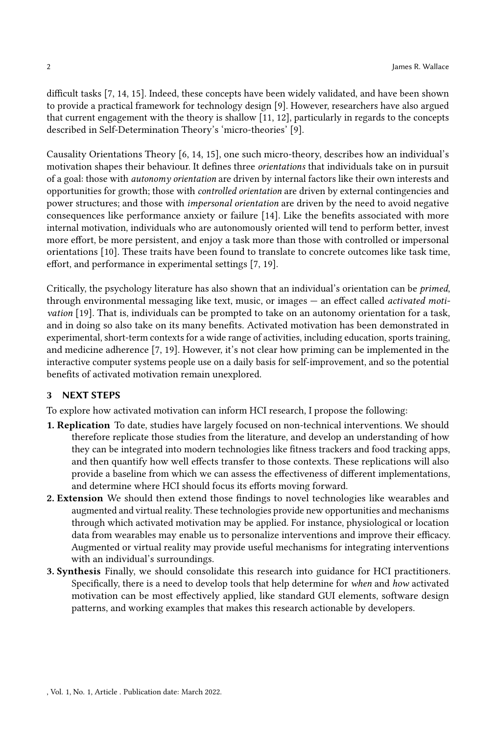difficult tasks [\[7,](#page-2-15) [14,](#page-2-6) [15\]](#page-2-7). Indeed, these concepts have been widely validated, and have been shown to provide a practical framework for technology design [\[9\]](#page-2-16). However, researchers have also argued that current engagement with the theory is shallow [\[11,](#page-2-17) [12\]](#page-2-18), particularly in regards to the concepts described in Self-Determination Theory's 'micro-theories' [\[9\]](#page-2-16).

Causality Orientations Theory [\[6,](#page-2-5) [14,](#page-2-6) [15\]](#page-2-7), one such micro-theory, describes how an individual's motivation shapes their behaviour. It defines three orientations that individuals take on in pursuit of a goal: those with autonomy orientation are driven by internal factors like their own interests and opportunities for growth; those with controlled orientation are driven by external contingencies and power structures; and those with impersonal orientation are driven by the need to avoid negative consequences like performance anxiety or failure [\[14\]](#page-2-6). Like the benefits associated with more internal motivation, individuals who are autonomously oriented will tend to perform better, invest more effort, be more persistent, and enjoy a task more than those with controlled or impersonal orientations [\[10\]](#page-2-19). These traits have been found to translate to concrete outcomes like task time, effort, and performance in experimental settings [\[7,](#page-2-15) [19\]](#page-2-20).

Critically, the psychology literature has also shown that an individual's orientation can be primed, through environmental messaging like text, music, or images — an effect called activated motivation [\[19\]](#page-2-20). That is, individuals can be prompted to take on an autonomy orientation for a task, and in doing so also take on its many benefits. Activated motivation has been demonstrated in experimental, short-term contexts for a wide range of activities, including education, sports training, and medicine adherence [\[7,](#page-2-15) [19\]](#page-2-20). However, it's not clear how priming can be implemented in the interactive computer systems people use on a daily basis for self-improvement, and so the potential benefits of activated motivation remain unexplored.

## 3 NEXT STEPS

To explore how activated motivation can inform HCI research, I propose the following:

- 1. Replication To date, studies have largely focused on non-technical interventions. We should therefore replicate those studies from the literature, and develop an understanding of how they can be integrated into modern technologies like fitness trackers and food tracking apps, and then quantify how well effects transfer to those contexts. These replications will also provide a baseline from which we can assess the effectiveness of different implementations, and determine where HCI should focus its efforts moving forward.
- 2. Extension We should then extend those findings to novel technologies like wearables and augmented and virtual reality. These technologies provide new opportunities and mechanisms through which activated motivation may be applied. For instance, physiological or location data from wearables may enable us to personalize interventions and improve their efficacy. Augmented or virtual reality may provide useful mechanisms for integrating interventions with an individual's surroundings.
- 3. Synthesis Finally, we should consolidate this research into guidance for HCI practitioners. Specifically, there is a need to develop tools that help determine for when and how activated motivation can be most effectively applied, like standard GUI elements, software design patterns, and working examples that makes this research actionable by developers.